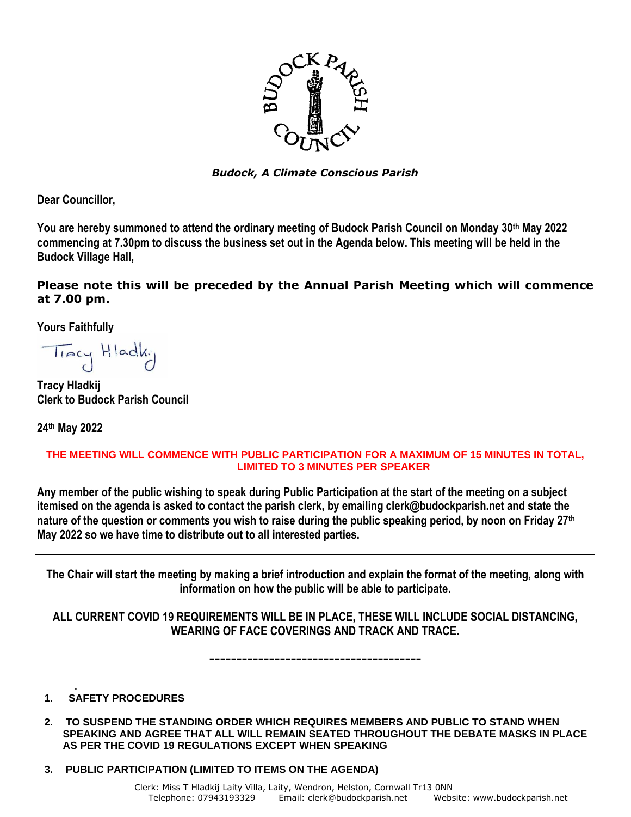

*Budock, A Climate Conscious Parish*

**Dear Councillor,** 

**You are hereby summoned to attend the ordinary meeting of Budock Parish Council on Monday 30th May 2022 commencing at 7.30pm to discuss the business set out in the Agenda below. This meeting will be held in the Budock Village Hall,**

**Please note this will be preceded by the Annual Parish Meeting which will commence at 7.00 pm.**

**Yours Faithfully**

Tracy Hladky

**Tracy Hladkij Clerk to Budock Parish Council**

**24th May 2022**

## **THE MEETING WILL COMMENCE WITH PUBLIC PARTICIPATION FOR A MAXIMUM OF 15 MINUTES IN TOTAL, LIMITED TO 3 MINUTES PER SPEAKER**

**Any member of the public wishing to speak during Public Participation at the start of the meeting on a subject itemised on the agenda is asked to contact the parish clerk, by emailing clerk@budockparish.net and state the nature of the question or comments you wish to raise during the public speaking period, by noon on Friday 27 th May 2022 so we have time to distribute out to all interested parties.**

**The Chair will start the meeting by making a brief introduction and explain the format of the meeting, along with information on how the public will be able to participate.**

**ALL CURRENT COVID 19 REQUIREMENTS WILL BE IN PLACE, THESE WILL INCLUDE SOCIAL DISTANCING, WEARING OF FACE COVERINGS AND TRACK AND TRACE.**

**---------------------------------------**

## . **1. SAFETY PROCEDURES**

- **2. TO SUSPEND THE STANDING ORDER WHICH REQUIRES MEMBERS AND PUBLIC TO STAND WHEN SPEAKING AND AGREE THAT ALL WILL REMAIN SEATED THROUGHOUT THE DEBATE MASKS IN PLACE AS PER THE COVID 19 REGULATIONS EXCEPT WHEN SPEAKING**
- **3. PUBLIC PARTICIPATION (LIMITED TO ITEMS ON THE AGENDA)**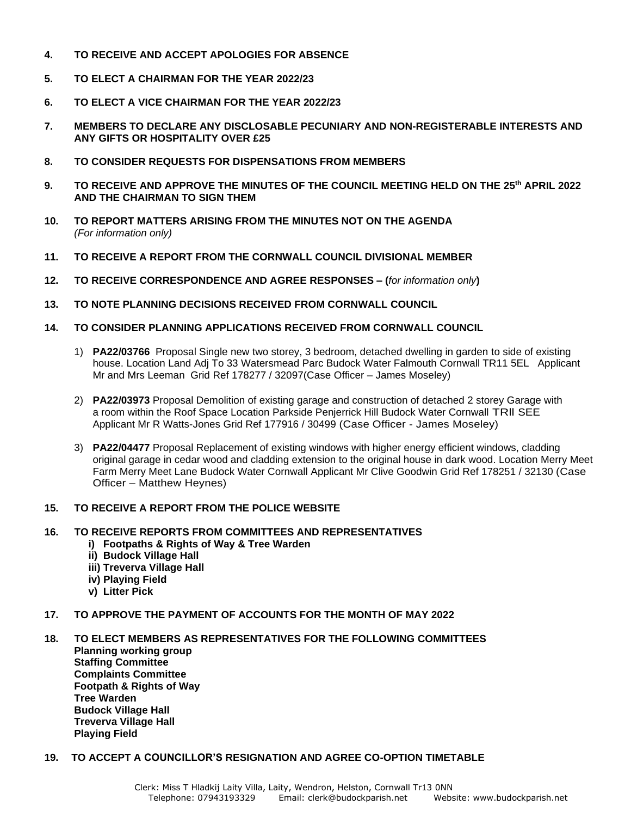- **4. TO RECEIVE AND ACCEPT APOLOGIES FOR ABSENCE**
- **5. TO ELECT A CHAIRMAN FOR THE YEAR 2022/23**
- **6. TO ELECT A VICE CHAIRMAN FOR THE YEAR 2022/23**
- **7. MEMBERS TO DECLARE ANY DISCLOSABLE PECUNIARY AND NON-REGISTERABLE INTERESTS AND ANY GIFTS OR HOSPITALITY OVER £25**
- **8. TO CONSIDER REQUESTS FOR DISPENSATIONS FROM MEMBERS**
- **9. TO RECEIVE AND APPROVE THE MINUTES OF THE COUNCIL MEETING HELD ON THE 25 th APRIL 2022 AND THE CHAIRMAN TO SIGN THEM**
- **10. TO REPORT MATTERS ARISING FROM THE MINUTES NOT ON THE AGENDA** *(For information only)*
- **11. TO RECEIVE A REPORT FROM THE CORNWALL COUNCIL DIVISIONAL MEMBER**
- **12. TO RECEIVE CORRESPONDENCE AND AGREE RESPONSES – (***for information only***)**
- **13. TO NOTE PLANNING DECISIONS RECEIVED FROM CORNWALL COUNCIL**
- **14. TO CONSIDER PLANNING APPLICATIONS RECEIVED FROM CORNWALL COUNCIL**
	- 1) **PA22/03766** Proposal Single new two storey, 3 bedroom, detached dwelling in garden to side of existing house. Location Land Adj To 33 Watersmead Parc Budock Water Falmouth Cornwall TR11 5EL Applicant Mr and Mrs Leeman Grid Ref 178277 / 32097(Case Officer – James Moseley)
	- 2) **PA22/03973** Proposal Demolition of existing garage and construction of detached 2 storey Garage with a room within the Roof Space Location Parkside Penjerrick Hill Budock Water Cornwall TRll SEE Applicant Mr R Watts-Jones Grid Ref 177916 / 30499 (Case Officer - James Moseley)
	- 3) **PA22/04477** Proposal Replacement of existing windows with higher energy efficient windows, cladding original garage in cedar wood and cladding extension to the original house in dark wood. Location Merry Meet Farm Merry Meet Lane Budock Water Cornwall Applicant Mr Clive Goodwin Grid Ref 178251 / 32130 (Case Officer – Matthew Heynes)

## **15. TO RECEIVE A REPORT FROM THE POLICE WEBSITE**

- **16. TO RECEIVE REPORTS FROM COMMITTEES AND REPRESENTATIVES**
	- **i) Footpaths & Rights of Way & Tree Warden**
	- **ii) Budock Village Hall**
	- **iii) Treverva Village Hall**
	- **iv) Playing Field**
	- **v) Litter Pick**
- **17. TO APPROVE THE PAYMENT OF ACCOUNTS FOR THE MONTH OF MAY 2022**
- **18. TO ELECT MEMBERS AS REPRESENTATIVES FOR THE FOLLOWING COMMITTEES Planning working group Staffing Committee Complaints Committee Footpath & Rights of Way Tree Warden Budock Village Hall Treverva Village Hall Playing Field**

## **19.****TO ACCEPT A COUNCILLOR'S RESIGNATION AND AGREE CO-OPTION TIMETABLE**